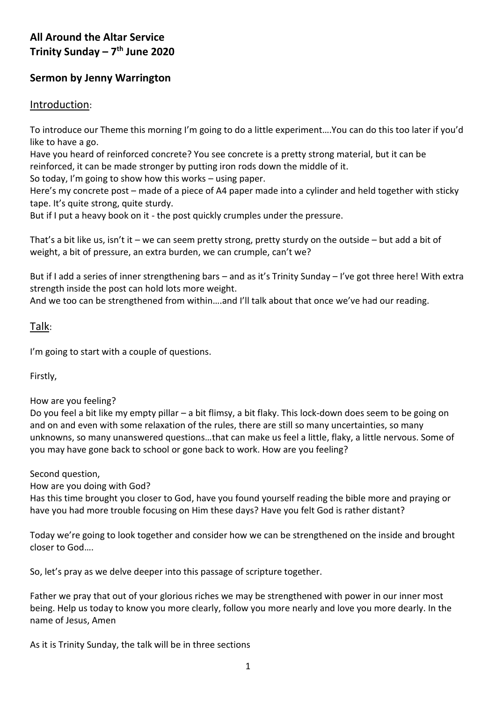# **All Around the Altar Service Trinity Sunday – 7 th June 2020**

## **Sermon by Jenny Warrington**

### Introduction:

To introduce our Theme this morning I'm going to do a little experiment….You can do this too later if you'd like to have a go.

Have you heard of reinforced concrete? You see concrete is a pretty strong material, but it can be reinforced, it can be made stronger by putting iron rods down the middle of it.

So today, I'm going to show how this works – using paper.

Here's my concrete post – made of a piece of A4 paper made into a cylinder and held together with sticky tape. It's quite strong, quite sturdy.

But if I put a heavy book on it - the post quickly crumples under the pressure.

That's a bit like us, isn't it – we can seem pretty strong, pretty sturdy on the outside – but add a bit of weight, a bit of pressure, an extra burden, we can crumple, can't we?

But if I add a series of inner strengthening bars – and as it's Trinity Sunday – I've got three here! With extra strength inside the post can hold lots more weight.

And we too can be strengthened from within….and I'll talk about that once we've had our reading.

#### Talk:

I'm going to start with a couple of questions.

Firstly,

#### How are you feeling?

Do you feel a bit like my empty pillar – a bit flimsy, a bit flaky. This lock-down does seem to be going on and on and even with some relaxation of the rules, there are still so many uncertainties, so many unknowns, so many unanswered questions…that can make us feel a little, flaky, a little nervous. Some of you may have gone back to school or gone back to work. How are you feeling?

Second question,

How are you doing with God?

Has this time brought you closer to God, have you found yourself reading the bible more and praying or have you had more trouble focusing on Him these days? Have you felt God is rather distant?

Today we're going to look together and consider how we can be strengthened on the inside and brought closer to God….

So, let's pray as we delve deeper into this passage of scripture together.

Father we pray that out of your glorious riches we may be strengthened with power in our inner most being. Help us today to know you more clearly, follow you more nearly and love you more dearly. In the name of Jesus, Amen

As it is Trinity Sunday, the talk will be in three sections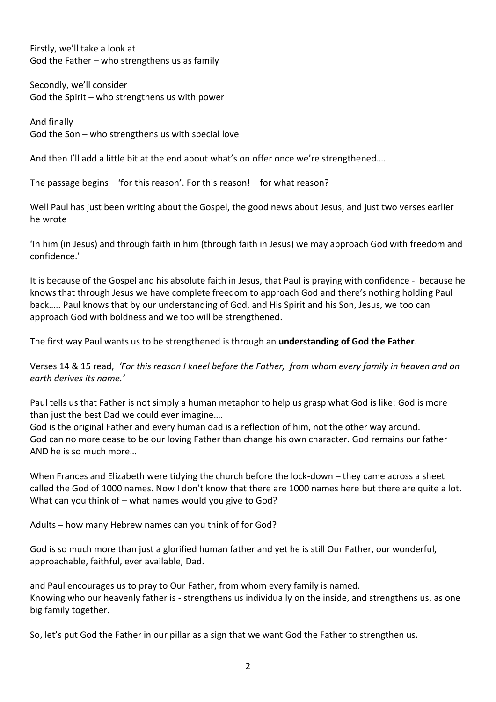Firstly, we'll take a look at God the Father – who strengthens us as family

Secondly, we'll consider God the Spirit – who strengthens us with power

And finally God the Son – who strengthens us with special love

And then I'll add a little bit at the end about what's on offer once we're strengthened….

The passage begins – 'for this reason'. For this reason! – for what reason?

Well Paul has just been writing about the Gospel, the good news about Jesus, and just two verses earlier he wrote

'In him (in Jesus) and through faith in him (through faith in Jesus) we may approach God with freedom and confidence.'

It is because of the Gospel and his absolute faith in Jesus, that Paul is praying with confidence - because he knows that through Jesus we have complete freedom to approach God and there's nothing holding Paul back….. Paul knows that by our understanding of God, and His Spirit and his Son, Jesus, we too can approach God with boldness and we too will be strengthened.

The first way Paul wants us to be strengthened is through an **understanding of God the Father**.

Verses 14 & 15 read, *'For this reason I kneel before the Father, from whom every family in heaven and on earth derives its name.'*

Paul tells us that Father is not simply a human metaphor to help us grasp what God is like: God is more than just the best Dad we could ever imagine….

God is the original Father and every human dad is a reflection of him, not the other way around. God can no more cease to be our loving Father than change his own character. God remains our father AND he is so much more…

When Frances and Elizabeth were tidying the church before the lock-down – they came across a sheet called the God of 1000 names. Now I don't know that there are 1000 names here but there are quite a lot. What can you think of – what names would you give to God?

Adults – how many Hebrew names can you think of for God?

God is so much more than just a glorified human father and yet he is still Our Father, our wonderful, approachable, faithful, ever available, Dad.

and Paul encourages us to pray to Our Father, from whom every family is named. Knowing who our heavenly father is - strengthens us individually on the inside, and strengthens us, as one big family together.

So, let's put God the Father in our pillar as a sign that we want God the Father to strengthen us.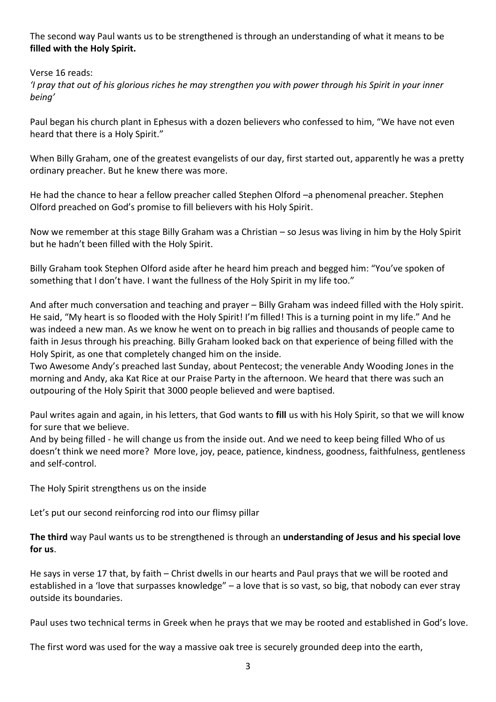The second way Paul wants us to be strengthened is through an understanding of what it means to be **filled with the Holy Spirit.**

Verse 16 reads:

*'I pray that out of his glorious riches he may strengthen you with power through his Spirit in your inner being'*

Paul began his church plant in Ephesus with a dozen believers who confessed to him, "We have not even heard that there is a Holy Spirit."

When Billy Graham, one of the greatest evangelists of our day, first started out, apparently he was a pretty ordinary preacher. But he knew there was more.

He had the chance to hear a fellow preacher called Stephen Olford –a phenomenal preacher. Stephen Olford preached on God's promise to fill believers with his Holy Spirit.

Now we remember at this stage Billy Graham was a Christian – so Jesus was living in him by the Holy Spirit but he hadn't been filled with the Holy Spirit.

Billy Graham took Stephen Olford aside after he heard him preach and begged him: "You've spoken of something that I don't have. I want the fullness of the Holy Spirit in my life too."

And after much conversation and teaching and prayer – Billy Graham was indeed filled with the Holy spirit. He said, "My heart is so flooded with the Holy Spirit! I'm filled! This is a turning point in my life." And he was indeed a new man. As we know he went on to preach in big rallies and thousands of people came to faith in Jesus through his preaching. Billy Graham looked back on that experience of being filled with the Holy Spirit, as one that completely changed him on the inside.

Two Awesome Andy's preached last Sunday, about Pentecost; the venerable Andy Wooding Jones in the morning and Andy, aka Kat Rice at our Praise Party in the afternoon. We heard that there was such an outpouring of the Holy Spirit that 3000 people believed and were baptised.

Paul writes again and again, in his letters, that God wants to **fill** us with his Holy Spirit, so that we will know for sure that we believe.

And by being filled - he will change us from the inside out. And we need to keep being filled Who of us doesn't think we need more? More love, joy, peace, patience, kindness, goodness, faithfulness, gentleness and self-control.

The Holy Spirit strengthens us on the inside

Let's put our second reinforcing rod into our flimsy pillar

**The third** way Paul wants us to be strengthened is through an **understanding of Jesus and his special love for us**.

He says in verse 17 that, by faith – Christ dwells in our hearts and Paul prays that we will be rooted and established in a 'love that surpasses knowledge" – a love that is so vast, so big, that nobody can ever stray outside its boundaries.

Paul uses two technical terms in Greek when he prays that we may be rooted and established in God's love.

The first word was used for the way a massive oak tree is securely grounded deep into the earth,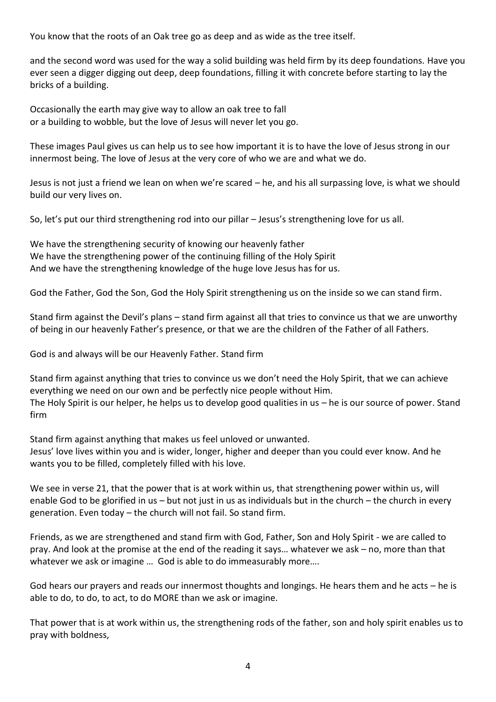You know that the roots of an Oak tree go as deep and as wide as the tree itself.

and the second word was used for the way a solid building was held firm by its deep foundations. Have you ever seen a digger digging out deep, deep foundations, filling it with concrete before starting to lay the bricks of a building.

Occasionally the earth may give way to allow an oak tree to fall or a building to wobble, but the love of Jesus will never let you go.

These images Paul gives us can help us to see how important it is to have the love of Jesus strong in our innermost being. The love of Jesus at the very core of who we are and what we do.

Jesus is not just a friend we lean on when we're scared – he, and his all surpassing love, is what we should build our very lives on.

So, let's put our third strengthening rod into our pillar – Jesus's strengthening love for us all.

We have the strengthening security of knowing our heavenly father We have the strengthening power of the continuing filling of the Holy Spirit And we have the strengthening knowledge of the huge love Jesus has for us.

God the Father, God the Son, God the Holy Spirit strengthening us on the inside so we can stand firm.

Stand firm against the Devil's plans – stand firm against all that tries to convince us that we are unworthy of being in our heavenly Father's presence, or that we are the children of the Father of all Fathers.

God is and always will be our Heavenly Father. Stand firm

Stand firm against anything that tries to convince us we don't need the Holy Spirit, that we can achieve everything we need on our own and be perfectly nice people without Him. The Holy Spirit is our helper, he helps us to develop good qualities in us – he is our source of power. Stand firm

Stand firm against anything that makes us feel unloved or unwanted. Jesus' love lives within you and is wider, longer, higher and deeper than you could ever know. And he wants you to be filled, completely filled with his love.

We see in verse 21, that the power that is at work within us, that strengthening power within us, will enable God to be glorified in us – but not just in us as individuals but in the church – the church in every generation. Even today – the church will not fail. So stand firm.

Friends, as we are strengthened and stand firm with God, Father, Son and Holy Spirit - we are called to pray. And look at the promise at the end of the reading it says… whatever we ask – no, more than that whatever we ask or imagine … God is able to do immeasurably more….

God hears our prayers and reads our innermost thoughts and longings. He hears them and he acts – he is able to do, to do, to act, to do MORE than we ask or imagine.

That power that is at work within us, the strengthening rods of the father, son and holy spirit enables us to pray with boldness,